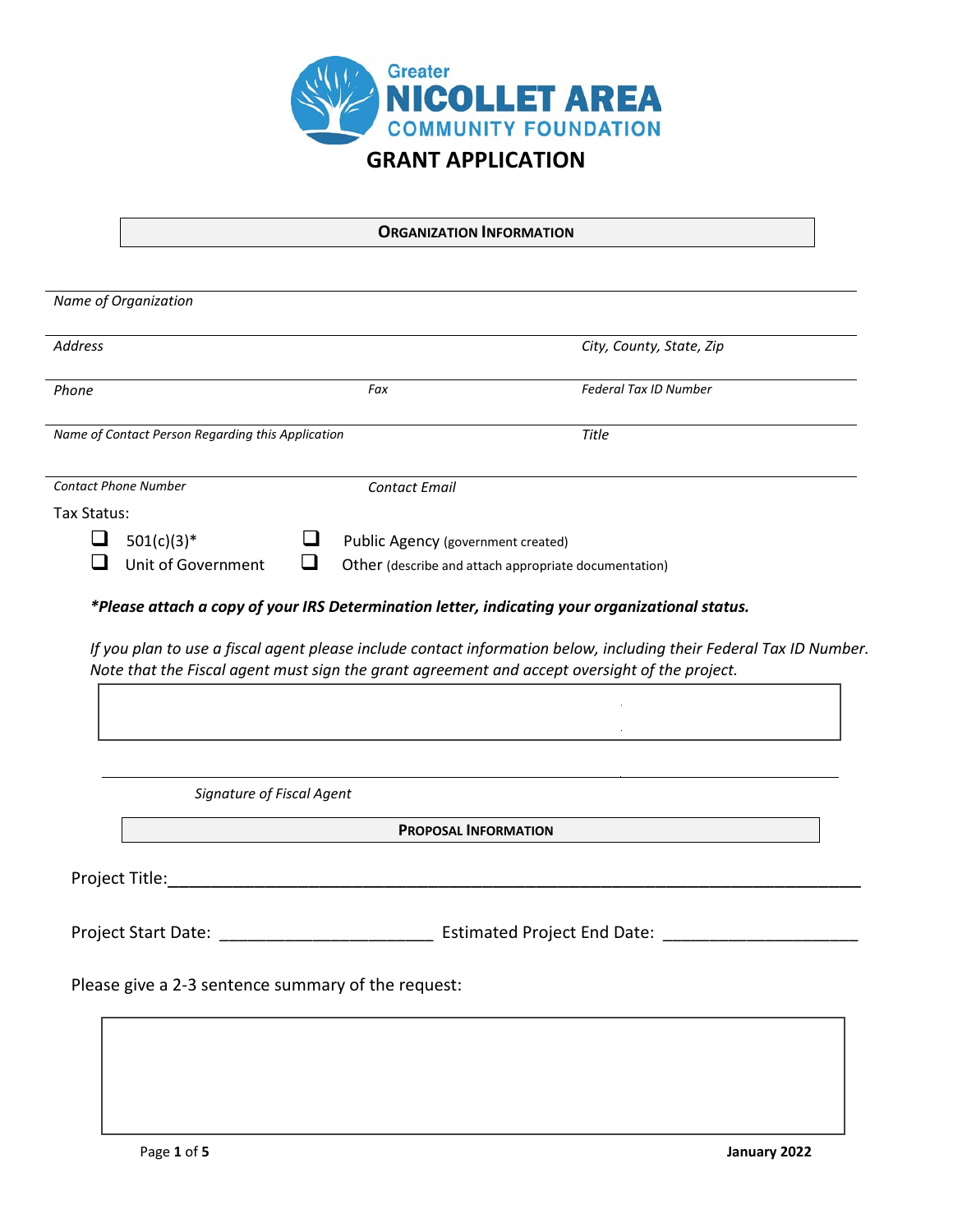

## **ORGANIZATION INFORMATION**

|                | Name of Organization                                                                                  |   |                                    |                                                                                               |  |
|----------------|-------------------------------------------------------------------------------------------------------|---|------------------------------------|-----------------------------------------------------------------------------------------------|--|
| <b>Address</b> |                                                                                                       |   |                                    | City, County, State, Zip                                                                      |  |
| Phone          |                                                                                                       |   | Fax                                | Federal Tax ID Number                                                                         |  |
|                | Name of Contact Person Regarding this Application                                                     |   |                                    | <b>Title</b>                                                                                  |  |
|                | <b>Contact Phone Number</b>                                                                           |   | <b>Contact Email</b>               |                                                                                               |  |
| Tax Status:    |                                                                                                       |   |                                    |                                                                                               |  |
| ப              | $501(c)(3)*$                                                                                          | ⊔ | Public Agency (government created) |                                                                                               |  |
|                | Unit of Government                                                                                    | ❏ |                                    | Other (describe and attach appropriate documentation)                                         |  |
|                |                                                                                                       |   |                                    | Note that the Fiscal agent must sign the grant agreement and accept oversight of the project. |  |
|                | Signature of Fiscal Agent                                                                             |   |                                    |                                                                                               |  |
|                |                                                                                                       |   | <b>PROPOSAL INFORMATION</b>        |                                                                                               |  |
|                | Project Title: National Accounts and Accounts and Accounts and Accounts and Accounts and Accounts and |   |                                    |                                                                                               |  |
|                |                                                                                                       |   |                                    |                                                                                               |  |
|                | Please give a 2-3 sentence summary of the request:                                                    |   |                                    |                                                                                               |  |
|                |                                                                                                       |   |                                    |                                                                                               |  |
|                |                                                                                                       |   |                                    |                                                                                               |  |
|                |                                                                                                       |   |                                    |                                                                                               |  |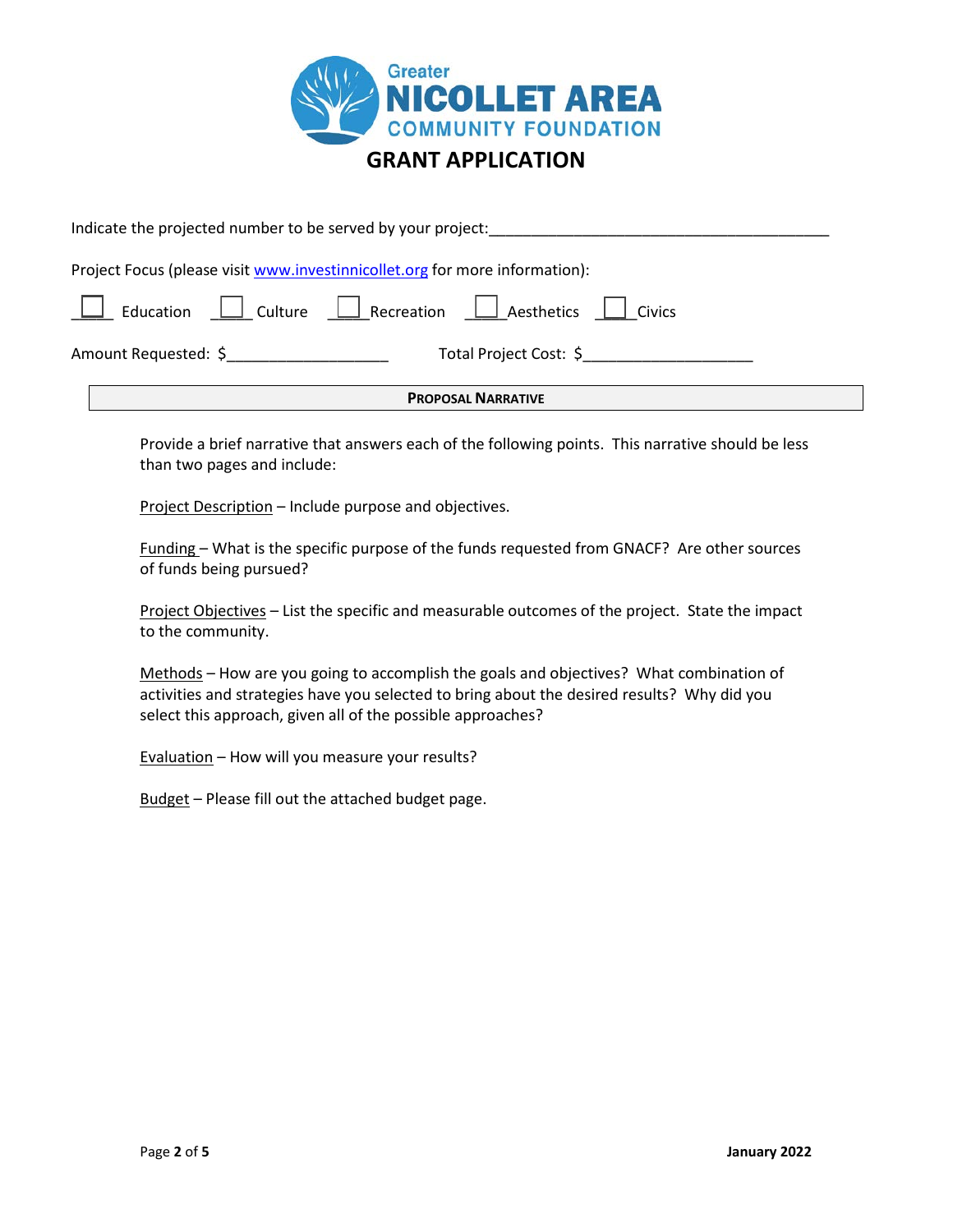

| <b>PROPOSAL NARRATIVE</b>                                                         |  |  |  |  |  |  |  |  |
|-----------------------------------------------------------------------------------|--|--|--|--|--|--|--|--|
| Amount Requested: \$<br>Total Project Cost: \$                                    |  |  |  |  |  |  |  |  |
| $\Box$ Education $\Box$ Culture $\Box$ Recreation $\Box$ Aesthetics $\Box$ Civics |  |  |  |  |  |  |  |  |
| Project Focus (please visit www.investinnicollet.org for more information):       |  |  |  |  |  |  |  |  |
| Indicate the projected number to be served by your project:                       |  |  |  |  |  |  |  |  |

Provide a brief narrative that answers each of the following points. This narrative should be less than two pages and include:

Project Description - Include purpose and objectives.

Funding – What is the specific purpose of the funds requested from GNACF? Are other sources of funds being pursued?

Project Objectives – List the specific and measurable outcomes of the project. State the impact to the community.

Methods – How are you going to accomplish the goals and objectives? What combination of activities and strategies have you selected to bring about the desired results? Why did you select this approach, given all of the possible approaches?

Evaluation – How will you measure your results?

Budget – Please fill out the attached budget page.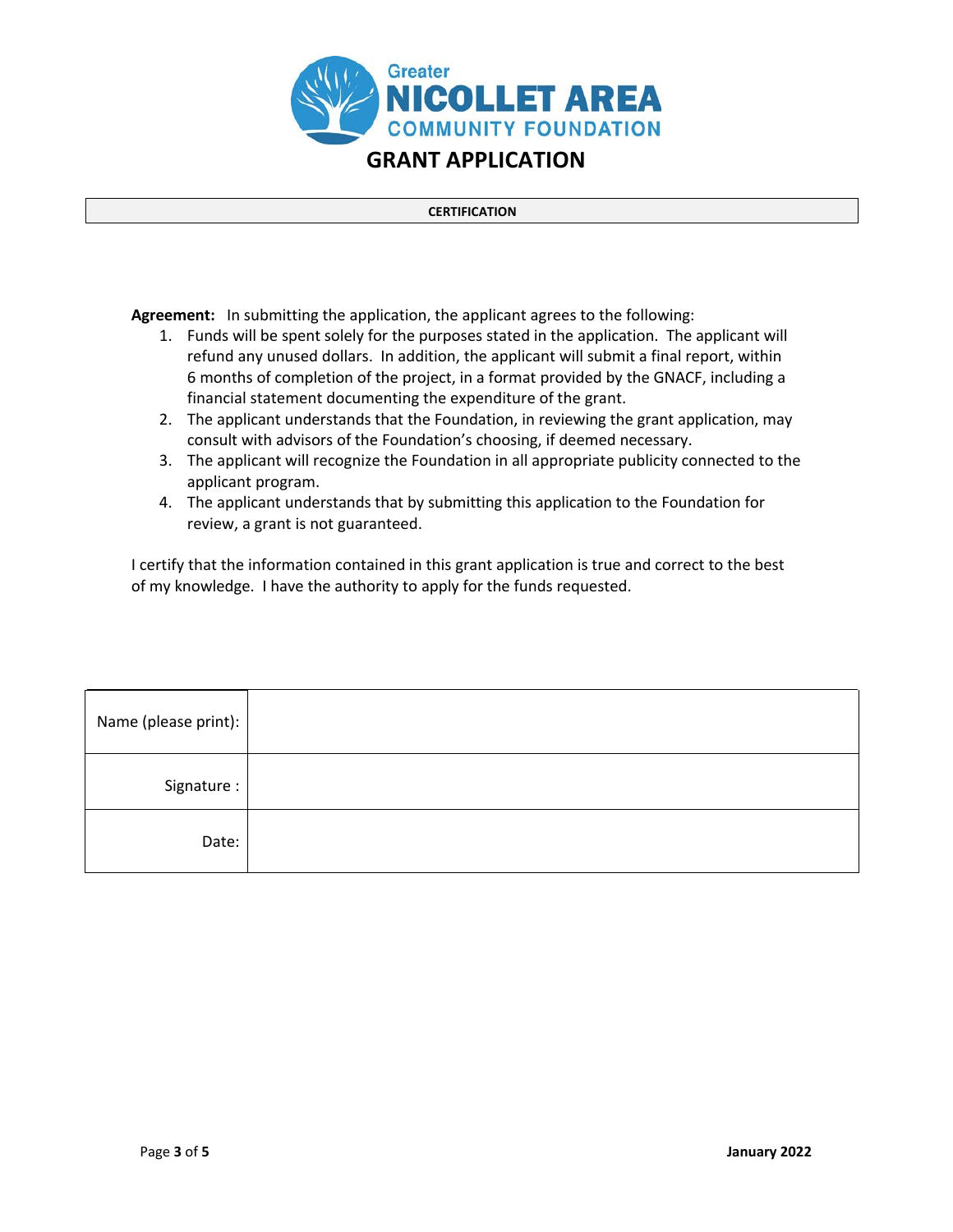

## **CERTIFICATION**

**Agreement:** In submitting the application, the applicant agrees to the following:

- 1. Funds will be spent solely for the purposes stated in the application. The applicant will refund any unused dollars. In addition, the applicant will submit a final report, within 6 months of completion of the project, in a format provided by the GNACF, including a financial statement documenting the expenditure of the grant.
- 2. The applicant understands that the Foundation, in reviewing the grant application, may consult with advisors of the Foundation's choosing, if deemed necessary.
- 3. The applicant will recognize the Foundation in all appropriate publicity connected to the applicant program.
- 4. The applicant understands that by submitting this application to the Foundation for review, a grant is not guaranteed.

I certify that the information contained in this grant application is true and correct to the best of my knowledge. I have the authority to apply for the funds requested.

| Name (please print): |  |
|----------------------|--|
| Signature:           |  |
| Date:                |  |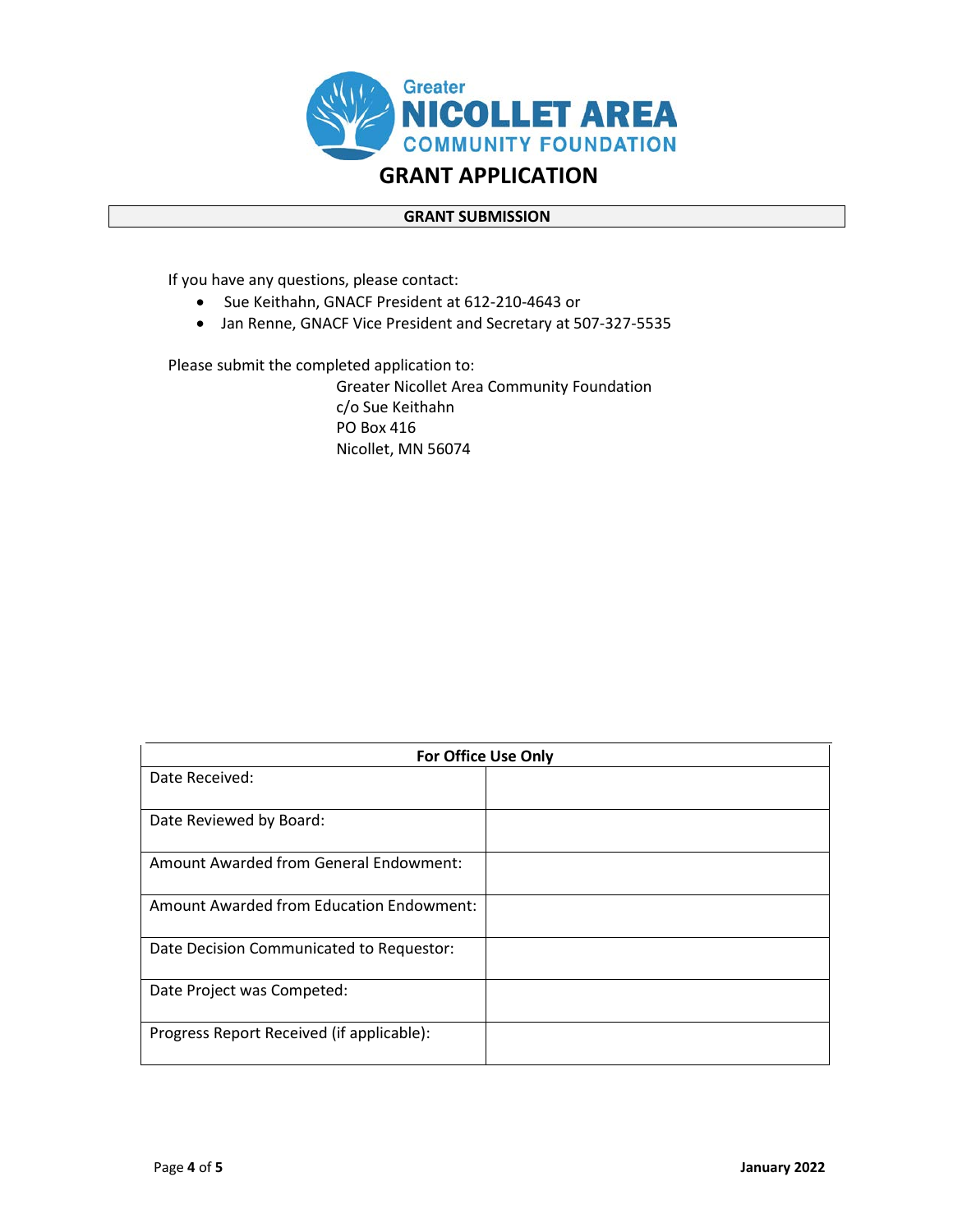

## **GRANT SUBMISSION**

If you have any questions, please contact:

- Sue Keithahn, GNACF President at 612-210-4643 or
- •Jan Renne, GNACF Vice President and Secretary at 507-327-5535

Please submit the completed application to:

Greater Nicollet Area Community Foundation c/o Sue Keithahn PO Box 416 Nicollet, MN 56074

| <b>For Office Use Only</b>                    |  |  |  |  |  |
|-----------------------------------------------|--|--|--|--|--|
| Date Received:                                |  |  |  |  |  |
|                                               |  |  |  |  |  |
| Date Reviewed by Board:                       |  |  |  |  |  |
| <b>Amount Awarded from General Endowment:</b> |  |  |  |  |  |
| Amount Awarded from Education Endowment:      |  |  |  |  |  |
| Date Decision Communicated to Requestor:      |  |  |  |  |  |
| Date Project was Competed:                    |  |  |  |  |  |
| Progress Report Received (if applicable):     |  |  |  |  |  |